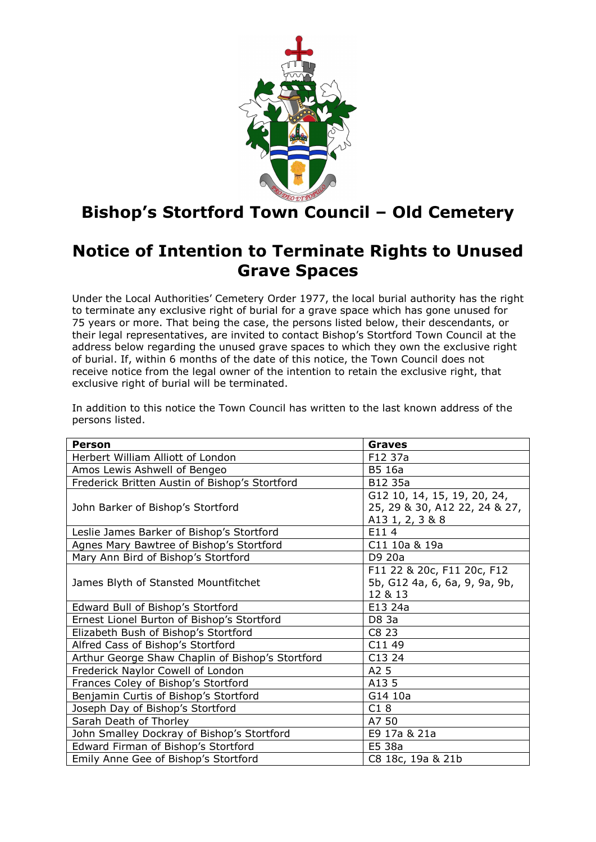

## **Bishop's Stortford Town Council – Old Cemetery**

## **Notice of Intention to Terminate Rights to Unused Grave Spaces**

Under the Local Authorities' Cemetery Order 1977, the local burial authority has the right to terminate any exclusive right of burial for a grave space which has gone unused for 75 years or more. That being the case, the persons listed below, their descendants, or their legal representatives, are invited to contact Bishop's Stortford Town Council at the address below regarding the unused grave spaces to which they own the exclusive right of burial. If, within 6 months of the date of this notice, the Town Council does not receive notice from the legal owner of the intention to retain the exclusive right, that exclusive right of burial will be terminated.

In addition to this notice the Town Council has written to the last known address of the persons listed.

| <b>Person</b>                                    | <b>Graves</b>                                                                   |
|--------------------------------------------------|---------------------------------------------------------------------------------|
| Herbert William Alliott of London                | F12 37a                                                                         |
| Amos Lewis Ashwell of Bengeo                     | B5 16a                                                                          |
| Frederick Britten Austin of Bishop's Stortford   | B12 35a                                                                         |
| John Barker of Bishop's Stortford                | G12 10, 14, 15, 19, 20, 24,<br>25, 29 & 30, A12 22, 24 & 27,<br>A13 1, 2, 3 & 8 |
| Leslie James Barker of Bishop's Stortford        | E114                                                                            |
| Agnes Mary Bawtree of Bishop's Stortford         | C11 10a & 19a                                                                   |
| Mary Ann Bird of Bishop's Stortford              | D9 20a                                                                          |
| James Blyth of Stansted Mountfitchet             | F11 22 & 20c, F11 20c, F12<br>5b, G12 4a, 6, 6a, 9, 9a, 9b,<br>12 & 13          |
| Edward Bull of Bishop's Stortford                | E13 24a                                                                         |
| Ernest Lionel Burton of Bishop's Stortford       | D8 3a                                                                           |
| Elizabeth Bush of Bishop's Stortford             | C8 23                                                                           |
| Alfred Cass of Bishop's Stortford                | C11 49                                                                          |
| Arthur George Shaw Chaplin of Bishop's Stortford | C13 24                                                                          |
| Frederick Naylor Cowell of London                | A <sub>2</sub> 5                                                                |
| Frances Coley of Bishop's Stortford              | A13 5                                                                           |
| Benjamin Curtis of Bishop's Stortford            | G14 10a                                                                         |
| Joseph Day of Bishop's Stortford                 | C18                                                                             |
| Sarah Death of Thorley                           | A7 50                                                                           |
| John Smalley Dockray of Bishop's Stortford       | E9 17a & 21a                                                                    |
| Edward Firman of Bishop's Stortford              | E5 38a                                                                          |
| Emily Anne Gee of Bishop's Stortford             | C8 18c, 19a & 21b                                                               |